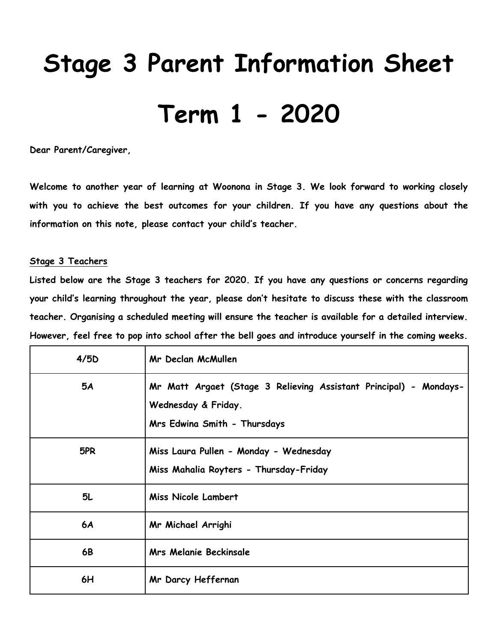# **Stage 3 Parent Information Sheet Term 1 - 2020**

**Dear Parent/Caregiver,**

**Welcome to another year of learning at Woonona in Stage 3. We look forward to working closely with you to achieve the best outcomes for your children. If you have any questions about the information on this note, please contact your child's teacher.** 

# **Stage 3 Teachers**

**Listed below are the Stage 3 teachers for 2020. If you have any questions or concerns regarding your child's learning throughout the year, please don't hesitate to discuss these with the classroom teacher. Organising a scheduled meeting will ensure the teacher is available for a detailed interview. However, feel free to pop into school after the bell goes and introduce yourself in the coming weeks.**

| 4/5D      | Mr Declan McMullen                                                                                                       |  |  |
|-----------|--------------------------------------------------------------------------------------------------------------------------|--|--|
| <b>5A</b> | Mr Matt Argaet (Stage 3 Relieving Assistant Principal) - Mondays-<br>Wednesday & Friday.<br>Mrs Edwina Smith - Thursdays |  |  |
| 5PR       | Miss Laura Pullen - Monday - Wednesday<br>Miss Mahalia Royters - Thursday-Friday                                         |  |  |
| 5L        | Miss Nicole Lambert                                                                                                      |  |  |
| 6A        | Mr Michael Arrighi                                                                                                       |  |  |
| 6B        | <b>Mrs Melanie Beckinsale</b>                                                                                            |  |  |
| 6H        | Mr Darcy Heffernan                                                                                                       |  |  |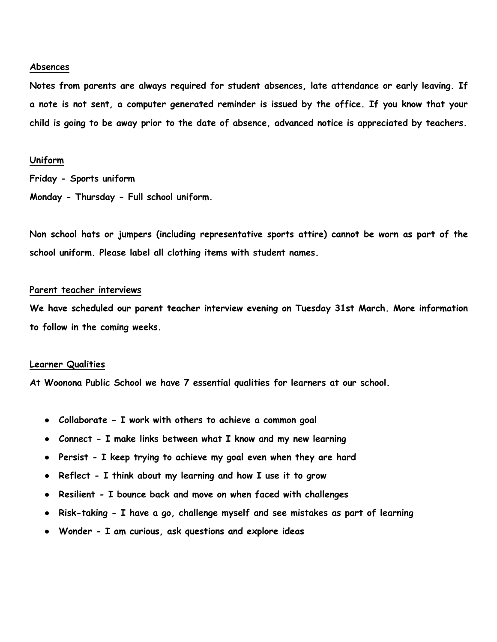#### **Absences**

**Notes from parents are always required for student absences, late attendance or early leaving. If a note is not sent, a computer generated reminder is issued by the office. If you know that your child is going to be away prior to the date of absence, advanced notice is appreciated by teachers.**

# **Uniform**

**Friday - Sports uniform Monday - Thursday - Full school uniform.**

**Non school hats or jumpers (including representative sports attire) cannot be worn as part of the school uniform. Please label all clothing items with student names.**

# **Parent teacher interviews**

**We have scheduled our parent teacher interview evening on Tuesday 31st March. More information to follow in the coming weeks.**

#### **Learner Qualities**

**At Woonona Public School we have 7 essential qualities for learners at our school.**

- **Collaborate - I work with others to achieve a common goal**
- **Connect - I make links between what I know and my new learning**
- **Persist - I keep trying to achieve my goal even when they are hard**
- **Reflect - I think about my learning and how I use it to grow**
- **Resilient - I bounce back and move on when faced with challenges**
- **Risk-taking - I have a go, challenge myself and see mistakes as part of learning**
- **Wonder - I am curious, ask questions and explore ideas**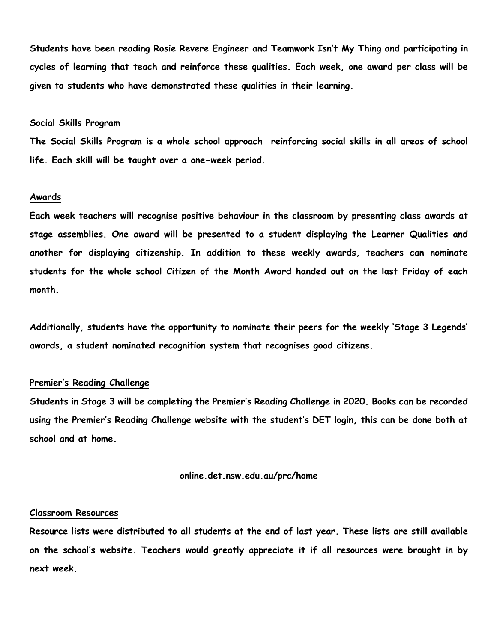**Students have been reading Rosie Revere Engineer and Teamwork Isn't My Thing and participating in cycles of learning that teach and reinforce these qualities. Each week, one award per class will be given to students who have demonstrated these qualities in their learning.**

#### **Social Skills Program**

**The Social Skills Program is a whole school approach reinforcing social skills in all areas of school life. Each skill will be taught over a one-week period.**

#### **Awards**

**Each week teachers will recognise positive behaviour in the classroom by presenting class awards at stage assemblies. One award will be presented to a student displaying the Learner Qualities and another for displaying citizenship. In addition to these weekly awards, teachers can nominate students for the whole school Citizen of the Month Award handed out on the last Friday of each month.** 

**Additionally, students have the opportunity to nominate their peers for the weekly 'Stage 3 Legends' awards, a student nominated recognition system that recognises good citizens.**

# **Premier's Reading Challenge**

**Students in Stage 3 will be completing the Premier's Reading Challenge in 2020. Books can be recorded using the Premier's Reading Challenge website with the student's DET login, this can be done both at school and at home.**

#### **online.det.nsw.edu.au/prc/home**

#### **Classroom Resources**

**Resource lists were distributed to all students at the end of last year. These lists are still available on the school's website. Teachers would greatly appreciate it if all resources were brought in by next week.**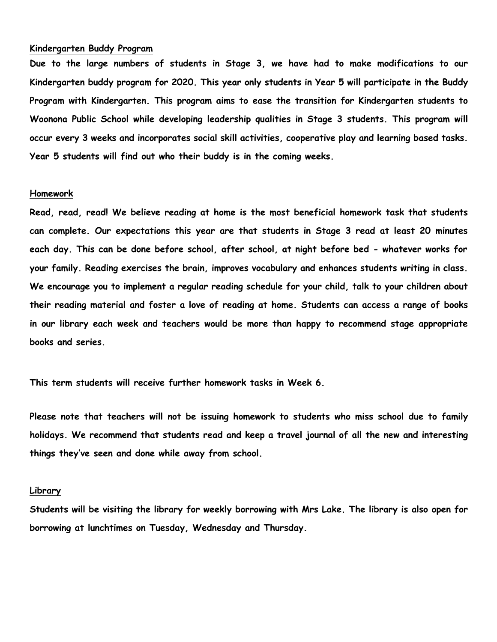## **Kindergarten Buddy Program**

**Due to the large numbers of students in Stage 3, we have had to make modifications to our Kindergarten buddy program for 2020. This year only students in Year 5 will participate in the Buddy Program with Kindergarten. This program aims to ease the transition for Kindergarten students to Woonona Public School while developing leadership qualities in Stage 3 students. This program will occur every 3 weeks and incorporates social skill activities, cooperative play and learning based tasks. Year 5 students will find out who their buddy is in the coming weeks.**

#### **Homework**

**Read, read, read! We believe reading at home is the most beneficial homework task that students can complete. Our expectations this year are that students in Stage 3 read at least 20 minutes each day. This can be done before school, after school, at night before bed - whatever works for your family. Reading exercises the brain, improves vocabulary and enhances students writing in class. We encourage you to implement a regular reading schedule for your child, talk to your children about their reading material and foster a love of reading at home. Students can access a range of books in our library each week and teachers would be more than happy to recommend stage appropriate books and series.** 

**This term students will receive further homework tasks in Week 6.**

**Please note that teachers will not be issuing homework to students who miss school due to family holidays. We recommend that students read and keep a travel journal of all the new and interesting things they've seen and done while away from school.**

### **Library**

**Students will be visiting the library for weekly borrowing with Mrs Lake. The library is also open for borrowing at lunchtimes on Tuesday, Wednesday and Thursday.**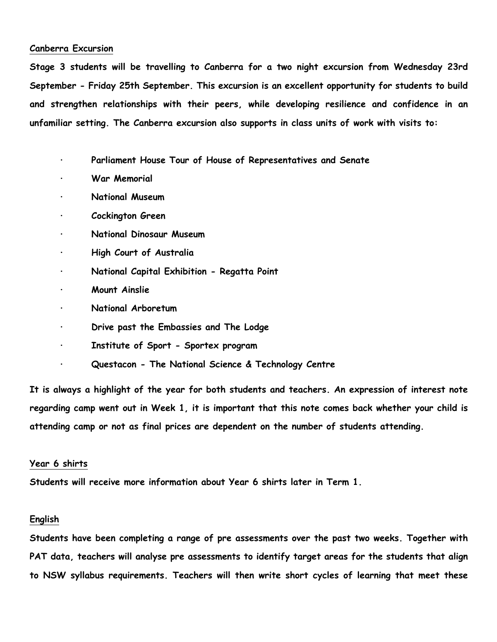# **Canberra Excursion**

**Stage 3 students will be travelling to Canberra for a two night excursion from Wednesday 23rd September - Friday 25th September. This excursion is an excellent opportunity for students to build and strengthen relationships with their peers, while developing resilience and confidence in an unfamiliar setting. The Canberra excursion also supports in class units of work with visits to:**

- **· Parliament House Tour of House of Representatives and Senate**
- **· War Memorial**
- **· National Museum**
- **· Cockington Green**
- **· National Dinosaur Museum**
- **· High Court of Australia**
- **· National Capital Exhibition - Regatta Point**
- **· Mount Ainslie**
- **· National Arboretum**
- **· Drive past the Embassies and The Lodge**
- **· Institute of Sport - Sportex program**
- **· Questacon - The National Science & Technology Centre**

**It is always a highlight of the year for both students and teachers. An expression of interest note regarding camp went out in Week 1, it is important that this note comes back whether your child is attending camp or not as final prices are dependent on the number of students attending.**

# **Year 6 shirts**

**Students will receive more information about Year 6 shirts later in Term 1.** 

# **English**

**Students have been completing a range of pre assessments over the past two weeks. Together with PAT data, teachers will analyse pre assessments to identify target areas for the students that align to NSW syllabus requirements. Teachers will then write short cycles of learning that meet these**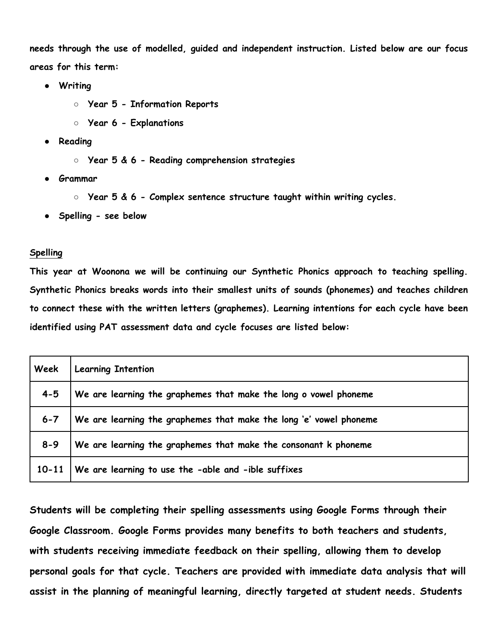**needs through the use of modelled, guided and independent instruction. Listed below are our focus areas for this term:**

- **Writing** 
	- **Year 5 - Information Reports**
	- **Year 6 - Explanations**
- **Reading** 
	- **Year 5 & 6 - Reading comprehension strategies**
- **Grammar**
	- **Year 5 & 6 - Complex sentence structure taught within writing cycles.**
- **Spelling - see below**

# **Spelling**

**This year at Woonona we will be continuing our Synthetic Phonics approach to teaching spelling. Synthetic Phonics breaks words into their smallest units of sounds (phonemes) and teaches children to connect these with the written letters (graphemes). Learning intentions for each cycle have been identified using PAT assessment data and cycle focuses are listed below:**

| Week      | <b>Learning Intention</b>                                          |
|-----------|--------------------------------------------------------------------|
| $4 - 5$   | We are learning the graphemes that make the long o vowel phoneme   |
| $6 - 7$   | We are learning the graphemes that make the long 'e' vowel phoneme |
| $8 - 9$   | We are learning the graphemes that make the consonant k phoneme    |
| $10 - 11$ | We are learning to use the -able and -ible suffixes                |

**Students will be completing their spelling assessments using Google Forms through their Google Classroom. Google Forms provides many benefits to both teachers and students, with students receiving immediate feedback on their spelling, allowing them to develop personal goals for that cycle. Teachers are provided with immediate data analysis that will assist in the planning of meaningful learning, directly targeted at student needs. Students**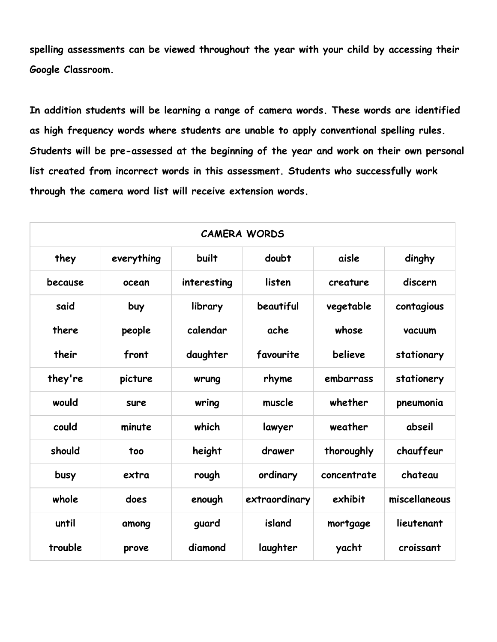**spelling assessments can be viewed throughout the year with your child by accessing their Google Classroom.**

**In addition students will be learning a range of camera words. These words are identified as high frequency words where students are unable to apply conventional spelling rules. Students will be pre-assessed at the beginning of the year and work on their own personal list created from incorrect words in this assessment. Students who successfully work through the camera word list will receive extension words.**

| <b>CAMERA WORDS</b> |            |             |               |             |               |
|---------------------|------------|-------------|---------------|-------------|---------------|
| they                | everything | built       | doubt         | aisle       | dinghy        |
| because             | ocean      | interesting | listen        | creature    | discern       |
| said                | buy        | library     | beautiful     | vegetable   | contagious    |
| there               | people     | calendar    | ache          | whose       | vacuum        |
| their               | front      | daughter    | favourite     | believe     | stationary    |
| they're             | picture    | wrung       | rhyme         | embarrass   | stationery    |
| would               | sure       | wring       | muscle        | whether     | pneumonia     |
| could               | minute     | which       | lawyer        | weather     | abseil        |
| should              | too        | height      | drawer        | thoroughly  | chauffeur     |
| busy                | extra      | rough       | ordinary      | concentrate | chateau       |
| whole               | does       | enough      | extraordinary | exhibit     | miscellaneous |
| until               | among      | guard       | island        | mortgage    | lieutenant    |
| trouble             | prove      | diamond     | laughter      | yacht       | croissant     |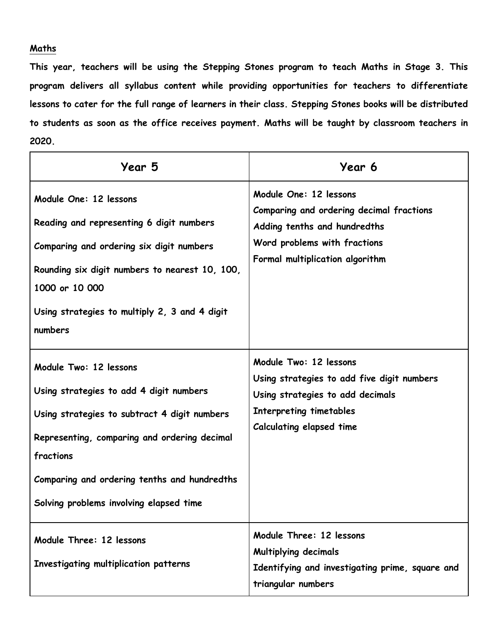# **Maths**

**This year, teachers will be using the Stepping Stones program to teach Maths in Stage 3. This program delivers all syllabus content while providing opportunities for teachers to differentiate lessons to cater for the full range of learners in their class. Stepping Stones books will be distributed to students as soon as the office receives payment. Maths will be taught by classroom teachers in 2020.**

| Year 5                                                                                                                                                                                                                                                                    | Year 6                                                                                                                                                                 |
|---------------------------------------------------------------------------------------------------------------------------------------------------------------------------------------------------------------------------------------------------------------------------|------------------------------------------------------------------------------------------------------------------------------------------------------------------------|
| Module One: 12 lessons<br>Reading and representing 6 digit numbers<br>Comparing and ordering six digit numbers<br>Rounding six digit numbers to nearest 10, 100,<br>1000 or 10 000<br>Using strategies to multiply 2, 3 and 4 digit<br>numbers                            | Module One: 12 lessons<br>Comparing and ordering decimal fractions<br>Adding tenths and hundredths<br>Word problems with fractions<br>Formal multiplication algorithm  |
| Module Two: 12 lessons<br>Using strategies to add 4 digit numbers<br>Using strategies to subtract 4 digit numbers<br>Representing, comparing and ordering decimal<br>fractions<br>Comparing and ordering tenths and hundredths<br>Solving problems involving elapsed time | Module Two: 12 lessons<br>Using strategies to add five digit numbers<br>Using strategies to add decimals<br>Interpreting timetables<br><b>Calculating elapsed time</b> |
| Module Three: 12 lessons<br>Investigating multiplication patterns                                                                                                                                                                                                         | Module Three: 12 lessons<br><b>Multiplying decimals</b><br>Identifying and investigating prime, square and<br>triangular numbers                                       |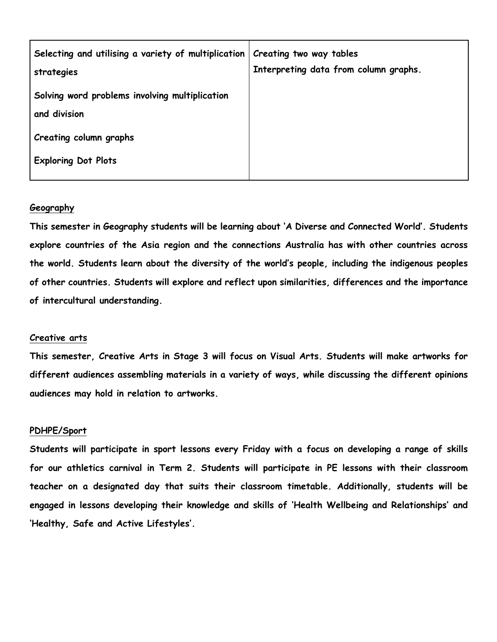| Selecting and utilising a variety of multiplication<br>strategies | Creating two way tables<br>Interpreting data from column graphs. |
|-------------------------------------------------------------------|------------------------------------------------------------------|
| Solving word problems involving multiplication<br>and division    |                                                                  |
| Creating column graphs                                            |                                                                  |
| <b>Exploring Dot Plots</b>                                        |                                                                  |

# **Geography**

**This semester in Geography students will be learning about 'A Diverse and Connected World'. Students explore countries of the Asia region and the connections Australia has with other countries across the world. Students learn about the diversity of the world's people, including the indigenous peoples of other countries. Students will explore and reflect upon similarities, differences and the importance of intercultural understanding.**

# **Creative arts**

**This semester, Creative Arts in Stage 3 will focus on Visual Arts. Students will make artworks for different audiences assembling materials in a variety of ways, while discussing the different opinions audiences may hold in relation to artworks.**

#### **PDHPE/Sport**

**Students will participate in sport lessons every Friday with a focus on developing a range of skills for our athletics carnival in Term 2. Students will participate in PE lessons with their classroom teacher on a designated day that suits their classroom timetable. Additionally, students will be engaged in lessons developing their knowledge and skills of 'Health Wellbeing and Relationships' and 'Healthy, Safe and Active Lifestyles'.**